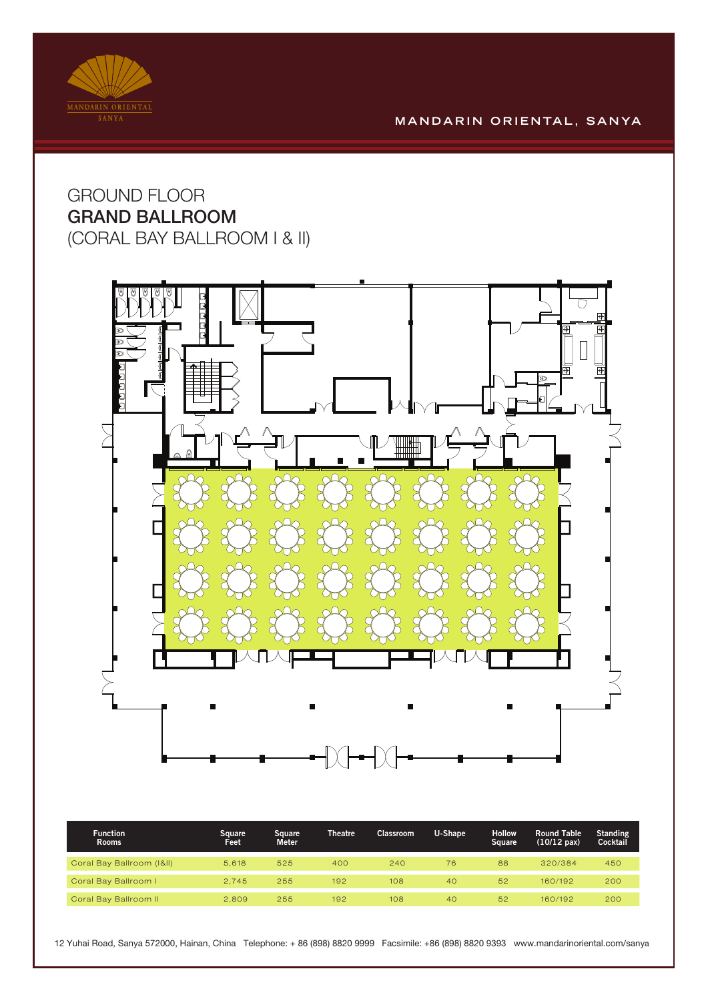

## **M A N D A R I N O R I E N TA L , S A N YA**

## GROUND FLOOR GRAND BALLROOM (CORAL BAY BALLROOM I & II)



| <b>Function</b><br><b>Rooms</b> | Square '<br>Feet | Sauare<br><b>Meter</b> | <b>Theatre</b> | <b>Classroom</b> | U-Shape | <b>Hollow</b><br>Square | <b>Round Table</b><br>$(10/12 \text{ pax})$ | <b>Standing</b><br>Cocktail |
|---------------------------------|------------------|------------------------|----------------|------------------|---------|-------------------------|---------------------------------------------|-----------------------------|
| Coral Bay Ballroom (I&II)       | 5.618            | 525                    | 400            | 240              | 76      | 88                      | 320/384                                     | 450                         |
| Coral Bay Ballroom I            | 2.745            | 255                    | 192            | 108              | 40      | 52                      | 160/192                                     | 200                         |
| Coral Bay Ballroom II           | 2,809            | 255                    | 192            | 108              | 40      | 52                      | 160/192                                     | 200                         |

12 Yuhai Road, Sanya 572000, Hainan, China Telephone: + 86 (898) 8820 9999 Facsimile: +86 (898) 8820 9393 www.mandarinoriental.com/sanya